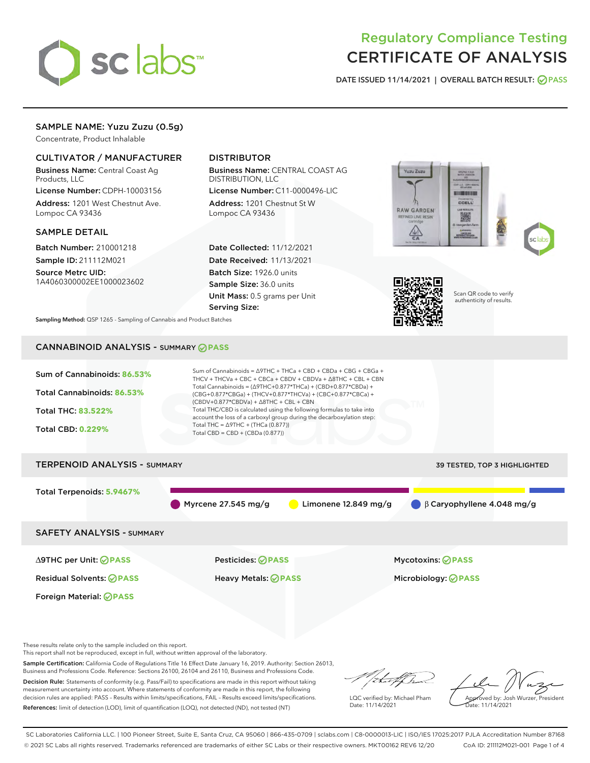

# Regulatory Compliance Testing CERTIFICATE OF ANALYSIS

DATE ISSUED 11/14/2021 | OVERALL BATCH RESULT: @ PASS

### SAMPLE NAME: Yuzu Zuzu (0.5g)

Concentrate, Product Inhalable

### CULTIVATOR / MANUFACTURER

Business Name: Central Coast Ag Products, LLC

License Number: CDPH-10003156 Address: 1201 West Chestnut Ave. Lompoc CA 93436

### SAMPLE DETAIL

Batch Number: 210001218 Sample ID: 211112M021

Source Metrc UID: 1A4060300002EE1000023602

### DISTRIBUTOR

Business Name: CENTRAL COAST AG DISTRIBUTION, LLC

License Number: C11-0000496-LIC Address: 1201 Chestnut St W Lompoc CA 93436

Date Collected: 11/12/2021 Date Received: 11/13/2021 Batch Size: 1926.0 units Sample Size: 36.0 units Unit Mass: 0.5 grams per Unit Serving Size:







Scan QR code to verify authenticity of results.

Sampling Method: QSP 1265 - Sampling of Cannabis and Product Batches

## CANNABINOID ANALYSIS - SUMMARY **PASS**



Sample Certification: California Code of Regulations Title 16 Effect Date January 16, 2019. Authority: Section 26013, Business and Professions Code. Reference: Sections 26100, 26104 and 26110, Business and Professions Code. Decision Rule: Statements of conformity (e.g. Pass/Fail) to specifications are made in this report without taking

measurement uncertainty into account. Where statements of conformity are made in this report, the following decision rules are applied: PASS – Results within limits/specifications, FAIL – Results exceed limits/specifications. References: limit of detection (LOD), limit of quantification (LOQ), not detected (ND), not tested (NT)

that f ha

LQC verified by: Michael Pham Date: 11/14/2021

Approved by: Josh Wurzer, President ate: 11/14/2021

SC Laboratories California LLC. | 100 Pioneer Street, Suite E, Santa Cruz, CA 95060 | 866-435-0709 | sclabs.com | C8-0000013-LIC | ISO/IES 17025:2017 PJLA Accreditation Number 87168 © 2021 SC Labs all rights reserved. Trademarks referenced are trademarks of either SC Labs or their respective owners. MKT00162 REV6 12/20 CoA ID: 211112M021-001 Page 1 of 4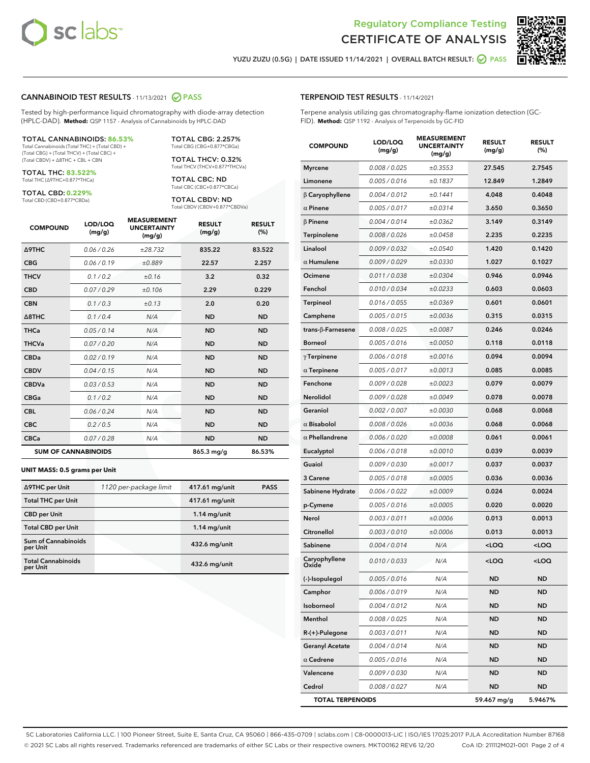



YUZU ZUZU (0.5G) | DATE ISSUED 11/14/2021 | OVERALL BATCH RESULT:  $\bigcirc$  PASS

### CANNABINOID TEST RESULTS - 11/13/2021 2 PASS

Tested by high-performance liquid chromatography with diode-array detection (HPLC-DAD). **Method:** QSP 1157 - Analysis of Cannabinoids by HPLC-DAD

#### TOTAL CANNABINOIDS: **86.53%**

Total Cannabinoids (Total THC) + (Total CBD) + (Total CBG) + (Total THCV) + (Total CBC) + (Total CBDV) + ∆8THC + CBL + CBN

TOTAL THC: **83.522%** Total THC (∆9THC+0.877\*THCa)

TOTAL CBD: **0.229%**

Total CBD (CBD+0.877\*CBDa)

TOTAL CBG: 2.257% Total CBG (CBG+0.877\*CBGa)

TOTAL THCV: 0.32% Total THCV (THCV+0.877\*THCVa)

TOTAL CBC: ND Total CBC (CBC+0.877\*CBCa)

TOTAL CBDV: ND Total CBDV (CBDV+0.877\*CBDVa)

| <b>COMPOUND</b>  | LOD/LOQ<br>(mg/g)          | <b>MEASUREMENT</b><br><b>UNCERTAINTY</b><br>(mg/g) | <b>RESULT</b><br>(mg/g) | <b>RESULT</b><br>(%) |
|------------------|----------------------------|----------------------------------------------------|-------------------------|----------------------|
| <b>A9THC</b>     | 0.06/0.26                  | ±28.732                                            | 835.22                  | 83.522               |
| <b>CBG</b>       | 0.06/0.19                  | ±0.889                                             | 22.57                   | 2.257                |
| <b>THCV</b>      | 0.1/0.2                    | ±0.16                                              | 3.2                     | 0.32                 |
| <b>CBD</b>       | 0.07/0.29                  | ±0.106                                             | 2.29                    | 0.229                |
| <b>CBN</b>       | 0.1/0.3                    | ±0.13                                              | 2.0                     | 0.20                 |
| $\triangle$ 8THC | 0.1/0.4                    | N/A                                                | <b>ND</b>               | <b>ND</b>            |
| <b>THCa</b>      | 0.05/0.14                  | N/A                                                | <b>ND</b>               | <b>ND</b>            |
| <b>THCVa</b>     | 0.07/0.20                  | N/A                                                | <b>ND</b>               | <b>ND</b>            |
| <b>CBDa</b>      | 0.02/0.19                  | N/A                                                | <b>ND</b>               | <b>ND</b>            |
| <b>CBDV</b>      | 0.04/0.15                  | N/A                                                | <b>ND</b>               | <b>ND</b>            |
| <b>CBDVa</b>     | 0.03/0.53                  | N/A                                                | <b>ND</b>               | <b>ND</b>            |
| <b>CBGa</b>      | 0.1/0.2                    | N/A                                                | <b>ND</b>               | <b>ND</b>            |
| <b>CBL</b>       | 0.06 / 0.24                | N/A                                                | <b>ND</b>               | <b>ND</b>            |
| <b>CBC</b>       | 0.2 / 0.5                  | N/A                                                | <b>ND</b>               | <b>ND</b>            |
| <b>CBCa</b>      | 0.07/0.28                  | N/A                                                | <b>ND</b>               | <b>ND</b>            |
|                  | <b>SUM OF CANNABINOIDS</b> |                                                    | $865.3$ mg/g            | 86.53%               |

#### **UNIT MASS: 0.5 grams per Unit**

| ∆9THC per Unit                         | 1120 per-package limit | 417.61 mg/unit  | <b>PASS</b> |
|----------------------------------------|------------------------|-----------------|-------------|
| <b>Total THC per Unit</b>              |                        | 417.61 mg/unit  |             |
| <b>CBD</b> per Unit                    |                        | $1.14$ mg/unit  |             |
| <b>Total CBD per Unit</b>              |                        | $1.14$ mg/unit  |             |
| <b>Sum of Cannabinoids</b><br>per Unit |                        | $432.6$ mg/unit |             |
| <b>Total Cannabinoids</b><br>per Unit  |                        | $432.6$ mg/unit |             |

| <b>COMPOUND</b>           | LOD/LOQ<br>(mg/g) | AJUREIVII<br><b>UNCERTAINTY</b><br>(mg/g) | <b>RESULT</b><br>(mg/g)                         | <b>RESULT</b><br>(%) |
|---------------------------|-------------------|-------------------------------------------|-------------------------------------------------|----------------------|
| <b>Myrcene</b>            | 0.008 / 0.025     | ±0.3553                                   | 27.545                                          | 2.7545               |
| Limonene                  | 0.005 / 0.016     | ±0.1837                                   | 12.849                                          | 1.2849               |
| $\beta$ Caryophyllene     | 0.004 / 0.012     | ±0.1441                                   | 4.048                                           | 0.4048               |
| $\alpha$ Pinene           | 0.005 / 0.017     | ±0.0314                                   | 3.650                                           | 0.3650               |
| $\beta$ Pinene            | 0.004 / 0.014     | ±0.0362                                   | 3.149                                           | 0.3149               |
| Terpinolene               | 0.008 / 0.026     | ±0.0458                                   | 2.235                                           | 0.2235               |
| Linalool                  | 0.009 / 0.032     | ±0.0540                                   | 1.420                                           | 0.1420               |
| $\alpha$ Humulene         | 0.009 / 0.029     | ±0.0330                                   | 1.027                                           | 0.1027               |
| Ocimene                   | 0.011 / 0.038     | ±0.0304                                   | 0.946                                           | 0.0946               |
| Fenchol                   | 0.010 / 0.034     | ±0.0233                                   | 0.603                                           | 0.0603               |
| <b>Terpineol</b>          | 0.016 / 0.055     | ±0.0369                                   | 0.601                                           | 0.0601               |
| Camphene                  | 0.005 / 0.015     | ±0.0036                                   | 0.315                                           | 0.0315               |
| trans- $\beta$ -Farnesene | 0.008 / 0.025     | ±0.0087                                   | 0.246                                           | 0.0246               |
| <b>Borneol</b>            | 0.005 / 0.016     | ±0.0050                                   | 0.118                                           | 0.0118               |
| $\gamma$ Terpinene        | 0.006 / 0.018     | ±0.0016                                   | 0.094                                           | 0.0094               |
| $\alpha$ Terpinene        | 0.005 / 0.017     | ±0.0013                                   | 0.085                                           | 0.0085               |
| Fenchone                  | 0.009 / 0.028     | ±0.0023                                   | 0.079                                           | 0.0079               |
| Nerolidol                 | 0.009 / 0.028     | ±0.0049                                   | 0.078                                           | 0.0078               |
| Geraniol                  | 0.002 / 0.007     | ±0.0030                                   | 0.068                                           | 0.0068               |
| $\alpha$ Bisabolol        | 0.008 / 0.026     | ±0.0036                                   | 0.068                                           | 0.0068               |
| $\alpha$ Phellandrene     | 0.006 / 0.020     | ±0.0008                                   | 0.061                                           | 0.0061               |
| Eucalyptol                | 0.006 / 0.018     | ±0.0010                                   | 0.039                                           | 0.0039               |
| Guaiol                    | 0.009 / 0.030     | ±0.0017                                   | 0.037                                           | 0.0037               |
| 3 Carene                  | 0.005 / 0.018     | ±0.0005                                   | 0.036                                           | 0.0036               |
| Sabinene Hydrate          | 0.006 / 0.022     | ±0.0009                                   | 0.024                                           | 0.0024               |
| p-Cymene                  | 0.005 / 0.016     | ±0.0005                                   | 0.020                                           | 0.0020               |
| Nerol                     | 0.003 / 0.011     | ±0.0006                                   | 0.013                                           | 0.0013               |
| Citronellol               | 0.003 / 0.010     | ±0.0006                                   | 0.013                                           | 0.0013               |
| Sabinene                  | 0.004 / 0.014     | N/A                                       | <loq< th=""><th><loq< th=""></loq<></th></loq<> | <loq< th=""></loq<>  |
| Caryophyllene<br>Oxide    | 0.010 / 0.033     | N/A                                       | <loq< th=""><th><loq< th=""></loq<></th></loq<> | <loq< th=""></loq<>  |
| (-)-Isopulegol            | 0.005 / 0.016     | N/A                                       | ND                                              | ND                   |
| Camphor                   | 0.006 / 0.019     | N/A                                       | ND                                              | ND                   |
| Isoborneol                | 0.004 / 0.012     | N/A                                       | ND                                              | ND                   |
| Menthol                   | 0.008 / 0.025     | N/A                                       | ND                                              | ND                   |
| $R-(+)$ -Pulegone         | 0.003 / 0.011     | N/A                                       | ND                                              | ND                   |
| <b>Geranyl Acetate</b>    | 0.004 / 0.014     | N/A                                       | ND                                              | ND                   |
| $\alpha$ Cedrene          | 0.005 / 0.016     | N/A                                       | ND                                              | ND                   |
| Valencene                 | 0.009 / 0.030     | N/A                                       | ND                                              | ND                   |
| Cedrol                    | 0.008 / 0.027     | N/A                                       | <b>ND</b>                                       | ND                   |
| <b>TOTAL TERPENOIDS</b>   |                   |                                           | 59.467 mg/g                                     | 5.9467%              |

SC Laboratories California LLC. | 100 Pioneer Street, Suite E, Santa Cruz, CA 95060 | 866-435-0709 | sclabs.com | C8-0000013-LIC | ISO/IES 17025:2017 PJLA Accreditation Number 87168 © 2021 SC Labs all rights reserved. Trademarks referenced are trademarks of either SC Labs or their respective owners. MKT00162 REV6 12/20 CoA ID: 211112M021-001 Page 2 of 4

### TERPENOID TEST RESULTS - 11/14/2021

Terpene analysis utilizing gas chromatography-flame ionization detection (GC-FID). **Method:** QSP 1192 - Analysis of Terpenoids by GC-FID

MEACUREMENT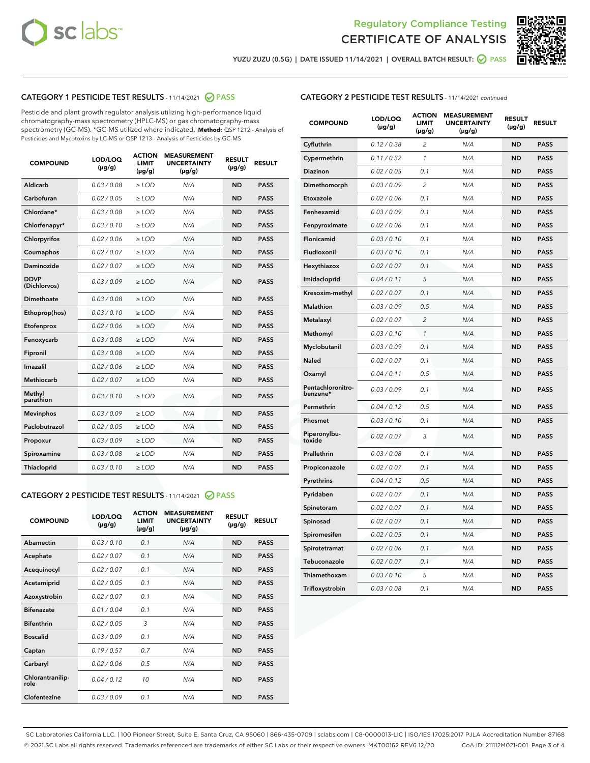



YUZU ZUZU (0.5G) | DATE ISSUED 11/14/2021 | OVERALL BATCH RESULT: ● PASS

### CATEGORY 1 PESTICIDE TEST RESULTS - 11/14/2021 2 PASS

Pesticide and plant growth regulator analysis utilizing high-performance liquid chromatography-mass spectrometry (HPLC-MS) or gas chromatography-mass spectrometry (GC-MS). \*GC-MS utilized where indicated. **Method:** QSP 1212 - Analysis of Pesticides and Mycotoxins by LC-MS or QSP 1213 - Analysis of Pesticides by GC-MS

| <b>COMPOUND</b>             | LOD/LOQ<br>$(\mu g/g)$ | <b>ACTION</b><br><b>LIMIT</b><br>$(\mu g/g)$ | <b>MEASUREMENT</b><br><b>UNCERTAINTY</b><br>$(\mu g/g)$ | <b>RESULT</b><br>$(\mu g/g)$ | <b>RESULT</b> |
|-----------------------------|------------------------|----------------------------------------------|---------------------------------------------------------|------------------------------|---------------|
| Aldicarb                    | 0.03 / 0.08            | $\ge$ LOD                                    | N/A                                                     | <b>ND</b>                    | <b>PASS</b>   |
| Carbofuran                  | 0.02 / 0.05            | $\ge$ LOD                                    | N/A                                                     | <b>ND</b>                    | <b>PASS</b>   |
| Chlordane*                  | 0.03 / 0.08            | $\ge$ LOD                                    | N/A                                                     | <b>ND</b>                    | <b>PASS</b>   |
| Chlorfenapyr*               | 0.03/0.10              | $\ge$ LOD                                    | N/A                                                     | <b>ND</b>                    | <b>PASS</b>   |
| Chlorpyrifos                | 0.02 / 0.06            | $\ge$ LOD                                    | N/A                                                     | <b>ND</b>                    | <b>PASS</b>   |
| Coumaphos                   | 0.02 / 0.07            | $\ge$ LOD                                    | N/A                                                     | <b>ND</b>                    | <b>PASS</b>   |
| Daminozide                  | 0.02 / 0.07            | $\ge$ LOD                                    | N/A                                                     | <b>ND</b>                    | <b>PASS</b>   |
| <b>DDVP</b><br>(Dichlorvos) | 0.03/0.09              | $>$ LOD                                      | N/A                                                     | <b>ND</b>                    | <b>PASS</b>   |
| Dimethoate                  | 0.03/0.08              | $\ge$ LOD                                    | N/A                                                     | <b>ND</b>                    | <b>PASS</b>   |
| Ethoprop(hos)               | 0.03/0.10              | $>$ LOD                                      | N/A                                                     | <b>ND</b>                    | <b>PASS</b>   |
| Etofenprox                  | 0.02 / 0.06            | $\ge$ LOD                                    | N/A                                                     | <b>ND</b>                    | <b>PASS</b>   |
| Fenoxycarb                  | 0.03/0.08              | $\ge$ LOD                                    | N/A                                                     | <b>ND</b>                    | <b>PASS</b>   |
| Fipronil                    | 0.03/0.08              | $\ge$ LOD                                    | N/A                                                     | <b>ND</b>                    | <b>PASS</b>   |
| Imazalil                    | 0.02 / 0.06            | $>$ LOD                                      | N/A                                                     | <b>ND</b>                    | <b>PASS</b>   |
| <b>Methiocarb</b>           | 0.02 / 0.07            | $\ge$ LOD                                    | N/A                                                     | <b>ND</b>                    | <b>PASS</b>   |
| Methyl<br>parathion         | 0.03/0.10              | $\ge$ LOD                                    | N/A                                                     | <b>ND</b>                    | <b>PASS</b>   |
| <b>Mevinphos</b>            | 0.03/0.09              | $\ge$ LOD                                    | N/A                                                     | <b>ND</b>                    | <b>PASS</b>   |
| Paclobutrazol               | 0.02 / 0.05            | $>$ LOD                                      | N/A                                                     | <b>ND</b>                    | <b>PASS</b>   |
| Propoxur                    | 0.03/0.09              | $\ge$ LOD                                    | N/A                                                     | <b>ND</b>                    | <b>PASS</b>   |
| Spiroxamine                 | 0.03/0.08              | $\ge$ LOD                                    | N/A                                                     | <b>ND</b>                    | <b>PASS</b>   |
| Thiacloprid                 | 0.03/0.10              | $\ge$ LOD                                    | N/A                                                     | <b>ND</b>                    | <b>PASS</b>   |

#### CATEGORY 2 PESTICIDE TEST RESULTS - 11/14/2021 @ PASS

| <b>COMPOUND</b>          | LOD/LOO<br>$(\mu g/g)$ | <b>ACTION</b><br>LIMIT<br>$(\mu g/g)$ | <b>MEASUREMENT</b><br><b>UNCERTAINTY</b><br>$(\mu g/g)$ | <b>RESULT</b><br>$(\mu g/g)$ | <b>RESULT</b> |  |
|--------------------------|------------------------|---------------------------------------|---------------------------------------------------------|------------------------------|---------------|--|
| Abamectin                | 0.03/0.10              | 0.1                                   | N/A                                                     | <b>ND</b>                    | <b>PASS</b>   |  |
| Acephate                 | 0.02/0.07              | 0.1                                   | N/A                                                     | <b>ND</b>                    | <b>PASS</b>   |  |
| Acequinocyl              | 0.02/0.07              | 0.1                                   | N/A                                                     | <b>ND</b>                    | <b>PASS</b>   |  |
| Acetamiprid              | 0.02 / 0.05            | 0.1                                   | N/A                                                     | <b>ND</b>                    | <b>PASS</b>   |  |
| Azoxystrobin             | 0.02/0.07              | 0.1                                   | N/A                                                     | <b>ND</b>                    | <b>PASS</b>   |  |
| <b>Bifenazate</b>        | 0.01 / 0.04            | 0.1                                   | N/A                                                     | <b>ND</b>                    | <b>PASS</b>   |  |
| <b>Bifenthrin</b>        | 0.02 / 0.05            | 3                                     | N/A                                                     | <b>ND</b>                    | <b>PASS</b>   |  |
| <b>Boscalid</b>          | 0.03/0.09              | 0.1                                   | N/A                                                     | <b>ND</b>                    | <b>PASS</b>   |  |
| Captan                   | 0.19/0.57              | 0.7                                   | N/A                                                     | <b>ND</b>                    | <b>PASS</b>   |  |
| Carbaryl                 | 0.02/0.06              | 0.5                                   | N/A                                                     | <b>ND</b>                    | <b>PASS</b>   |  |
| Chlorantranilip-<br>role | 0.04/0.12              | 10                                    | N/A                                                     | <b>ND</b>                    | <b>PASS</b>   |  |
| Clofentezine             | 0.03/0.09              | 0.1                                   | N/A                                                     | <b>ND</b>                    | <b>PASS</b>   |  |

| <b>COMPOUND</b>               | LOD/LOQ<br>(µg/g) | <b>ACTION</b><br><b>LIMIT</b><br>(µg/g) | <b>MEASUREMENT</b><br><b>UNCERTAINTY</b><br>$(\mu g/g)$ | <b>RESULT</b><br>(µg/g) | <b>RESULT</b> |
|-------------------------------|-------------------|-----------------------------------------|---------------------------------------------------------|-------------------------|---------------|
| Cyfluthrin                    | 0.12 / 0.38       | $\overline{c}$                          | N/A                                                     | <b>ND</b>               | <b>PASS</b>   |
| Cypermethrin                  | 0.11 / 0.32       | 1                                       | N/A                                                     | <b>ND</b>               | <b>PASS</b>   |
| <b>Diazinon</b>               | 0.02 / 0.05       | 0.1                                     | N/A                                                     | <b>ND</b>               | <b>PASS</b>   |
| Dimethomorph                  | 0.03 / 0.09       | 2                                       | N/A                                                     | <b>ND</b>               | <b>PASS</b>   |
| Etoxazole                     | 0.02 / 0.06       | 0.1                                     | N/A                                                     | <b>ND</b>               | <b>PASS</b>   |
| Fenhexamid                    | 0.03 / 0.09       | 0.1                                     | N/A                                                     | <b>ND</b>               | <b>PASS</b>   |
| Fenpyroximate                 | 0.02 / 0.06       | 0.1                                     | N/A                                                     | <b>ND</b>               | <b>PASS</b>   |
| Flonicamid                    | 0.03 / 0.10       | 0.1                                     | N/A                                                     | <b>ND</b>               | <b>PASS</b>   |
| Fludioxonil                   | 0.03 / 0.10       | 0.1                                     | N/A                                                     | <b>ND</b>               | <b>PASS</b>   |
| Hexythiazox                   | 0.02 / 0.07       | 0.1                                     | N/A                                                     | <b>ND</b>               | <b>PASS</b>   |
| Imidacloprid                  | 0.04 / 0.11       | 5                                       | N/A                                                     | <b>ND</b>               | <b>PASS</b>   |
| Kresoxim-methyl               | 0.02 / 0.07       | 0.1                                     | N/A                                                     | <b>ND</b>               | <b>PASS</b>   |
| Malathion                     | 0.03 / 0.09       | 0.5                                     | N/A                                                     | <b>ND</b>               | <b>PASS</b>   |
| Metalaxyl                     | 0.02 / 0.07       | $\overline{c}$                          | N/A                                                     | <b>ND</b>               | <b>PASS</b>   |
| Methomyl                      | 0.03 / 0.10       | $\mathcal{I}$                           | N/A                                                     | <b>ND</b>               | <b>PASS</b>   |
| Myclobutanil                  | 0.03 / 0.09       | 0.1                                     | N/A                                                     | <b>ND</b>               | <b>PASS</b>   |
| <b>Naled</b>                  | 0.02 / 0.07       | 0.1                                     | N/A                                                     | <b>ND</b>               | <b>PASS</b>   |
| Oxamyl                        | 0.04 / 0.11       | 0.5                                     | N/A                                                     | <b>ND</b>               | <b>PASS</b>   |
| Pentachloronitro-<br>benzene* | 0.03/0.09         | 0.1                                     | N/A                                                     | <b>ND</b>               | <b>PASS</b>   |
| Permethrin                    | 0.04 / 0.12       | 0.5                                     | N/A                                                     | <b>ND</b>               | <b>PASS</b>   |
| Phosmet                       | 0.03 / 0.10       | 0.1                                     | N/A                                                     | <b>ND</b>               | <b>PASS</b>   |
| Piperonylbu-<br>toxide        | 0.02 / 0.07       | 3                                       | N/A                                                     | <b>ND</b>               | <b>PASS</b>   |
| Prallethrin                   | 0.03 / 0.08       | 0.1                                     | N/A                                                     | <b>ND</b>               | <b>PASS</b>   |
| Propiconazole                 | 0.02 / 0.07       | 0.1                                     | N/A                                                     | <b>ND</b>               | <b>PASS</b>   |
| Pyrethrins                    | 0.04 / 0.12       | 0.5                                     | N/A                                                     | <b>ND</b>               | <b>PASS</b>   |
| Pyridaben                     | 0.02 / 0.07       | 0.1                                     | N/A                                                     | <b>ND</b>               | <b>PASS</b>   |
| Spinetoram                    | 0.02 / 0.07       | 0.1                                     | N/A                                                     | <b>ND</b>               | <b>PASS</b>   |
| Spinosad                      | 0.02 / 0.07       | 0.1                                     | N/A                                                     | <b>ND</b>               | <b>PASS</b>   |
| Spiromesifen                  | 0.02 / 0.05       | 0.1                                     | N/A                                                     | <b>ND</b>               | <b>PASS</b>   |
| Spirotetramat                 | 0.02 / 0.06       | 0.1                                     | N/A                                                     | ND                      | <b>PASS</b>   |
| Tebuconazole                  | 0.02 / 0.07       | 0.1                                     | N/A                                                     | <b>ND</b>               | <b>PASS</b>   |
| Thiamethoxam                  | 0.03 / 0.10       | 5                                       | N/A                                                     | <b>ND</b>               | <b>PASS</b>   |
| Trifloxystrobin               | 0.03 / 0.08       | 0.1                                     | N/A                                                     | <b>ND</b>               | <b>PASS</b>   |

SC Laboratories California LLC. | 100 Pioneer Street, Suite E, Santa Cruz, CA 95060 | 866-435-0709 | sclabs.com | C8-0000013-LIC | ISO/IES 17025:2017 PJLA Accreditation Number 87168 © 2021 SC Labs all rights reserved. Trademarks referenced are trademarks of either SC Labs or their respective owners. MKT00162 REV6 12/20 CoA ID: 211112M021-001 Page 3 of 4